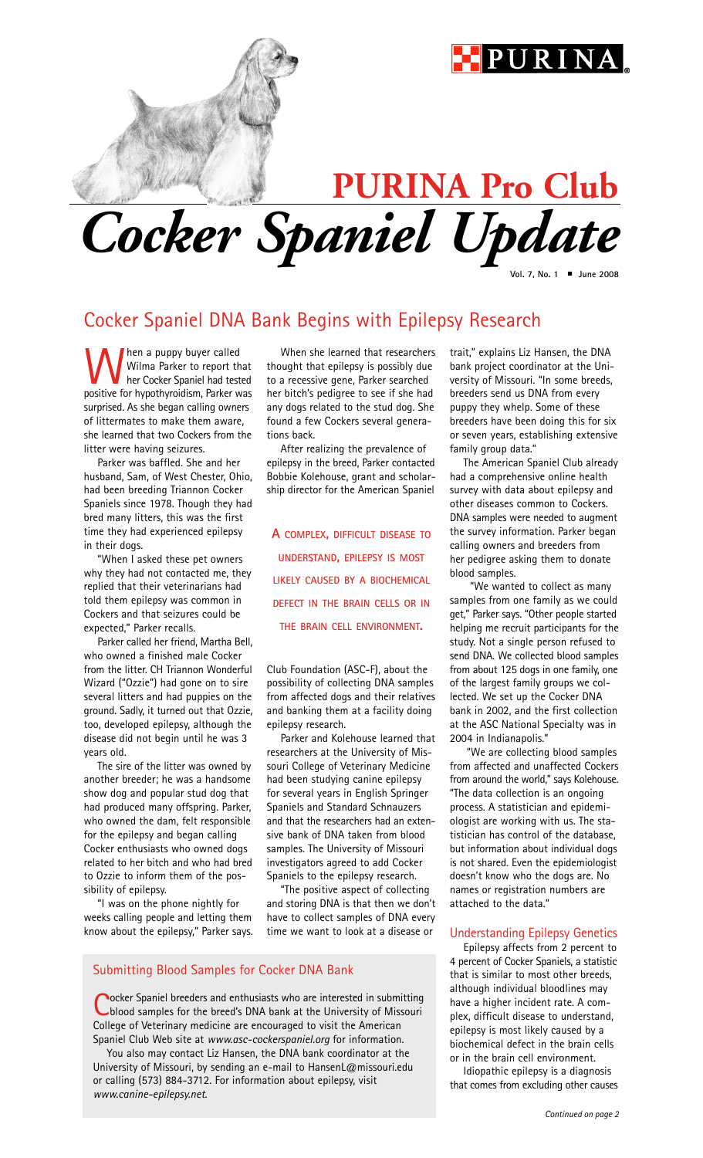## PURIN

# *Cocker Spaniel Update* **PURINA Pro Club**

**Vol. 7, No. 1** ■ **June 2008**

### Cocker Spaniel DNA Bank Begins with Epilepsy Research

**When a puppy buyer called**<br>Wilma Parker to report that<br>her Cocker Spaniel had tested<br>positive for hypothyroidism, Parker was Wilma Parker to report that her Cocker Spaniel had tested surprised. As she began calling owners of littermates to make them aware, she learned that two Cockers from the litter were having seizures.

Parker was baffled. She and her husband, Sam, of West Chester, Ohio, had been breeding Triannon Cocker Spaniels since 1978. Though they had bred many litters, this was the first time they had experienced epilepsy in their dogs.

"When I asked these pet owners why they had not contacted me, they replied that their veterinarians had told them epilepsy was common in Cockers and that seizures could be expected," Parker recalls.

Parker called her friend, Martha Bell, who owned a finished male Cocker from the litter. CH Triannon Wonderful Wizard ("Ozzie") had gone on to sire several litters and had puppies on the ground. Sadly, it turned out that Ozzie, too, developed epilepsy, although the disease did not begin until he was 3 years old.

The sire of the litter was owned by another breeder; he was a handsome show dog and popular stud dog that had produced many offspring. Parker, who owned the dam, felt responsible for the epilepsy and began calling Cocker enthusiasts who owned dogs related to her bitch and who had bred to Ozzie to inform them of the possibility of epilepsy.

"I was on the phone nightly for weeks calling people and letting them know about the epilepsy," Parker says.

When she learned that researchers thought that epilepsy is possibly due to a recessive gene, Parker searched her bitch's pedigree to see if she had any dogs related to the stud dog. She found a few Cockers several generations back.

After realizing the prevalence of epilepsy in the breed, Parker contacted Bobbie Kolehouse, grant and scholarship director for the American Spaniel

**A COMPLEX, DIFFICULT DISEASE TO UNDERSTAND, EPILEPSY IS MOST LIKELY CAUSED BY A BIOCHEMICAL DEFECT IN THE BRAIN CELLS OR IN THE BRAIN CELL ENVIRONMENT.** 

Club Foundation (ASC-F), about the possibility of collecting DNA samples from affected dogs and their relatives and banking them at a facility doing epilepsy research.

Parker and Kolehouse learned that researchers at the University of Missouri College of Veterinary Medicine had been studying canine epilepsy for several years in English Springer Spaniels and Standard Schnauzers and that the researchers had an extensive bank of DNA taken from blood samples. The University of Missouri investigators agreed to add Cocker Spaniels to the epilepsy research.

"The positive aspect of collecting and storing DNA is that then we don't have to collect samples of DNA every time we want to look at a disease or

#### Submitting Blood Samples for Cocker DNA Bank

ocker Spaniel breeders and enthusiasts who are interested in submitting blood samples for the breed's DNA bank at the University of Missouri College of Veterinary medicine are encouraged to visit the American Spaniel Club Web site at *www.asc-cockerspaniel.org* for information.

You also may contact Liz Hansen, the DNA bank coordinator at the University of Missouri, by sending an e-mail to HansenL@missouri.edu or calling (573) 884-3712. For information about epilepsy, visit *www.canine-epilepsy.net*.

trait," explains Liz Hansen, the DNA bank project coordinator at the University of Missouri. "In some breeds, breeders send us DNA from every puppy they whelp. Some of these breeders have been doing this for six or seven years, establishing extensive family group data."

The American Spaniel Club already had a comprehensive online health survey with data about epilepsy and other diseases common to Cockers. DNA samples were needed to augment the survey information. Parker began calling owners and breeders from her pedigree asking them to donate blood samples.

"We wanted to collect as many samples from one family as we could get," Parker says. "Other people started helping me recruit participants for the study. Not a single person refused to send DNA. We collected blood samples from about 125 dogs in one family, one of the largest family groups we collected. We set up the Cocker DNA bank in 2002, and the first collection at the ASC National Specialty was in 2004 in Indianapolis."

"We are collecting blood samples from affected and unaffected Cockers from around the world," says Kolehouse. "The data collection is an ongoing process. A statistician and epidemiologist are working with us. The statistician has control of the database, but information about individual dogs is not shared. Even the epidemiologist doesn't know who the dogs are. No names or registration numbers are attached to the data."

#### Understanding Epilepsy Genetics

Epilepsy affects from 2 percent to 4 percent of Cocker Spaniels, a statistic that is similar to most other breeds, although individual bloodlines may have a higher incident rate. A complex, difficult disease to understand, epilepsy is most likely caused by a biochemical defect in the brain cells or in the brain cell environment.

Idiopathic epilepsy is a diagnosis that comes from excluding other causes